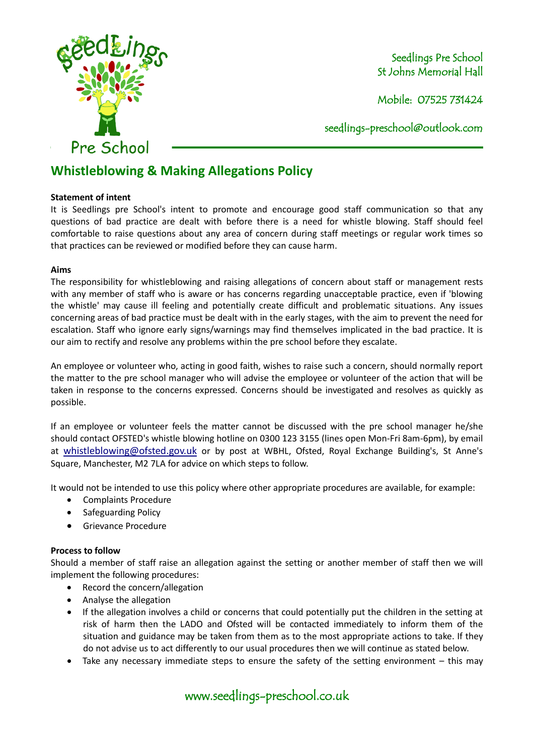

Seedlings Pre School St Johns Memorial Hall

Mobile: 07525 731424

seedlings[-preschool@outlook.com](mailto:preschool@outlook.com)

# **Whistleblowing & Making Allegations Policy**

### **Statement of intent**

It is Seedlings pre School's intent to promote and encourage good staff communication so that any questions of bad practice are dealt with before there is a need for whistle blowing. Staff should feel comfortable to raise questions about any area of concern during staff meetings or regular work times so that practices can be reviewed or modified before they can cause harm.

#### **Aims**

The responsibility for whistleblowing and raising allegations of concern about staff or management rests with any member of staff who is aware or has concerns regarding unacceptable practice, even if 'blowing the whistle' may cause ill feeling and potentially create difficult and problematic situations. Any issues concerning areas of bad practice must be dealt with in the early stages, with the aim to prevent the need for escalation. Staff who ignore early signs/warnings may find themselves implicated in the bad practice. It is our aim to rectify and resolve any problems within the pre school before they escalate.

An employee or volunteer who, acting in good faith, wishes to raise such a concern, should normally report the matter to the pre school manager who will advise the employee or volunteer of the action that will be taken in response to the concerns expressed. Concerns should be investigated and resolves as quickly as possible.

If an employee or volunteer feels the matter cannot be discussed with the pre school manager he/she should contact OFSTED's whistle blowing hotline on 0300 123 3155 (lines open Mon-Fri 8am-6pm), by email at [whistleblowing@ofsted.gov.uk](mailto:whistleblowing@ofsted.gov.uk) or by post at WBHL, Ofsted, Royal Exchange Building's, St Anne's Square, Manchester, M2 7LA for advice on which steps to follow.

It would not be intended to use this policy where other appropriate procedures are available, for example:

- Complaints Procedure
- Safeguarding Policy
- Grievance Procedure

### **Process to follow**

Should a member of staff raise an allegation against the setting or another member of staff then we will implement the following procedures:

- Record the concern/allegation
- Analyse the allegation
- If the allegation involves a child or concerns that could potentially put the children in the setting at risk of harm then the LADO and Ofsted will be contacted immediately to inform them of the situation and guidance may be taken from them as to the most appropriate actions to take. If they do not advise us to act differently to our usual procedures then we will continue as stated below.
- Take any necessary immediate steps to ensure the safety of the setting environment  $-$  this may

## www.seedlings-preschool.co.uk